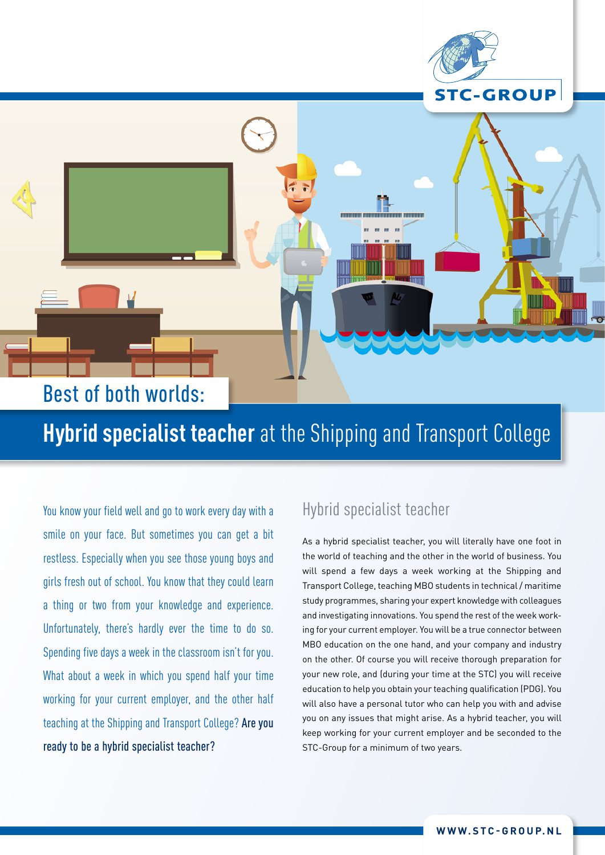

# **Hybrid specialist teacher** at the Shipping and Transport College

You know your field well and go to work every day with a smile on your face. But sometimes you can get a bit restless. Especially when you see those young boys and girls fresh out of school. You know that they could learn a thing or two from your knowledge and experience. Unfortunately, there's hardly ever the time to do so. Spending five days a week in the classroom isn't for you. What about a week in which you spend half your time working for your current employer, and the other half teaching at the Shipping and Transport College? Are you ready to be a hybrid specialist teacher?

#### Hybrid specialist teacher

As a hybrid specialist teacher, you will literally have one foot in the world of teaching and the other in the world of business. You will spend a few days a week working at the Shipping and Transport College, teaching MBO students in technical / maritime study programmes, sharing your expert knowledge with colleagues and investigating innovations. You spend the rest of the week working for your current employer. You will be a true connector between MBO education on the one hand, and your company and industry on the other. Of course you will receive thorough preparation for your new role, and (during your time at the STC) you will receive education to help you obtain your teaching qualification (PDG). You will also have a personal tutor who can help you with and advise you on any issues that might arise. As a hybrid teacher, you will keep working for your current employer and be seconded to the STC-Group for a minimum of two years.

**STC-GROUP**